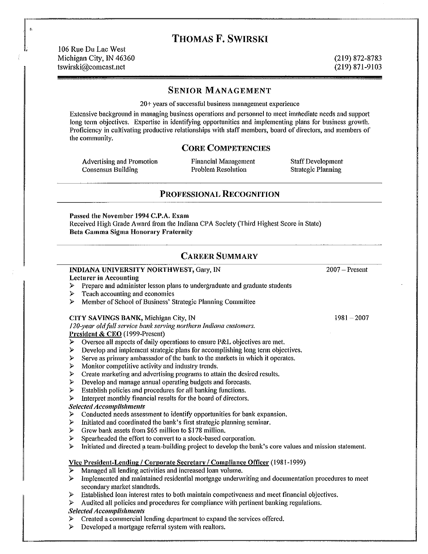# **THOMAS F. SWIRSKI**

106 Rue Du Lac West Michigan City, IN 46360 (219) 872-8783 tswirski@comcast.net (219) 871-9103

#### **SENIOR MANAGEMENT**

20+ years of successful business management experience

Extensive background in managing business operations and personnel to meet immediate needs and support long term objectives. Expertise in identifying opportunities and implementing plans for business growth. Proficiency in cultivating productive relationships with staff members, board of directors, and members of the community.

## **CORE COMPETENCIES**

Advertising and Promotion<br>
Financial Management<br>
Consensus Building<br>
Problem Resolution<br>
Strategic Planning Consensus Building Problem Resolution Strategic Planning

## **PROFESSIONAL RECOGNITION**

Passed the November 1994 C.P.A. Exam Received High Grade Award from the Indiana CPA Society (Third Highest Score in State) **Beta Gamma Sigma Honorary Fraternity** 

## **CAREER SUMMARY**

| INDIANA UNIVERSITY NORTHWEST, Gary, IN                                        |                                                                                                                                  | $2007 -$ Present |
|-------------------------------------------------------------------------------|----------------------------------------------------------------------------------------------------------------------------------|------------------|
| <b>Lecturer in Accounting</b>                                                 |                                                                                                                                  |                  |
| $\triangleright$                                                              | Prepare and administer lesson plans to undergraduate and graduate students                                                       |                  |
| ≻                                                                             | Teach accounting and economics                                                                                                   |                  |
| ⋗                                                                             | Member of School of Business' Strategic Planning Committee                                                                       |                  |
|                                                                               | CITY SAVINGS BANK, Michigan City, IN                                                                                             | $1981 - 2007$    |
| 120-year old full service bank serving northern Indiana customers.            |                                                                                                                                  |                  |
| President & CEO (1999-Present)                                                |                                                                                                                                  |                  |
| $\triangleright$                                                              | Oversee all aspects of daily operations to ensure P&L objectives are met.                                                        |                  |
| ⋗                                                                             | Develop and implement strategic plans for accomplishing long term objectives.                                                    |                  |
| ⋗                                                                             | Serve as primary ambassador of the bank to the markets in which it operates.                                                     |                  |
| ⋗                                                                             | Monitor competitive activity and industry trends.                                                                                |                  |
| ⋗                                                                             | Create marketing and advertising programs to attain the desired results.                                                         |                  |
| ⋗                                                                             | Develop and manage annual operating budgets and forecasts.                                                                       |                  |
| ⋗                                                                             | Establish policies and procedures for all banking functions.                                                                     |                  |
| ⋗                                                                             | Interpret monthly financial results for the board of directors.                                                                  |                  |
| <b>Selected Accomplishments</b>                                               |                                                                                                                                  |                  |
| ➤                                                                             | Conducted needs assessment to identify opportunities for bank expansion.                                                         |                  |
| ⋗                                                                             | Initiated and coordinated the bank's first strategic planning seminar.                                                           |                  |
| ⋗                                                                             | Grew bank assets from \$65 million to \$178 million.                                                                             |                  |
| ⋗                                                                             | Spearheaded the effort to convert to a stock-based corporation.                                                                  |                  |
| ⋗                                                                             | Initiated and directed a team-building project to develop the bank's core values and mission statement.                          |                  |
| Vice President-Lending / Corporate Secretary / Compliance Officer (1981-1999) |                                                                                                                                  |                  |
| $\triangleright$                                                              | Managed all lending activities and increased loan volume.                                                                        |                  |
| ≻                                                                             | Implemented and maintained residential mortgage underwriting and documentation procedures to meet<br>secondary market standards. |                  |

- $\triangleright$  Established loan interest rates to both maintain competiveness and meet financial objectives.
- $\triangleright$  Audited all policies and procedures for compliance with pertinent banking regulations.

#### **Selected Accomplishments**

- $\triangleright$  Created a commercial lending department to expand the services offered.<br>  $\triangleright$  Developed a mortgage referral system with realtors.
- Developed a mortgage referral system with realtors.

,.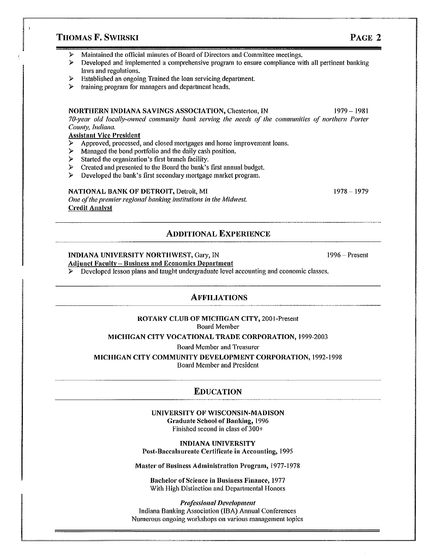## **THOMAS F. SWIRSKI PAGE 2**

- $\triangleright$  Maintained the official minutes of Board of Directors and Committee meetings.<br> $\triangleright$  Develoned and implemented a comprehensive program to ensure compliance wi
- Developed and implemented a comprehensive program to ensure compliance with all pertinent banking laws and regulations.
- $\triangleright$  Established an ongoing Trained the loan servicing department.<br> $\triangleright$  training program for managers and department heads
- training program for managers and department heads.

#### **NORTHERN INDIANA SAVINGS ASSOCIATION, Chesterton, IN 1979-1981**

*70-year old locally-owned community bank serving the needs of the communities of northern Porter County, Indiana.* 

### **Assistant Vice President**

- $\triangleright$  Approved, processed, and closed mortgages and home improvement loans.<br>  $\triangleright$  Managed the bond portfolio and the daily cash position.
- $\triangleright$  Managed the bond portfolio and the daily cash position.<br> $\triangleright$  Started the organization's first branch facility.
- Started the organization's first branch facility.<br>  $\triangleright$  Created and presented to the Board the bank's
- $\triangleright$  Created and presented to the Board the bank's first annual budget.<br> $\triangleright$  Developed the bank's first secondary mortgage market program.
- Developed the bank's first secondary mortgage market program.

#### **NATIONAL BANK OF DETROIT,** Detroit, **MI** 1978- 1979

*One of the premier regional banking institutions in the Midwest.* **Credit Analyst** 

## **ADDITIONAL EXPERIENCE**

### **INDIANA UNIVERSITY NORTHWEST, Gary, IN** 1996 - Present

#### **Adjunct Faculty- Business and Economics Department**

Developed lesson plans and taught undergraduate level accounting and economic classes.

## **AFFILIATIONS**

## **ROTARY CLUB OF MICHIGAN CITY,** 2001-Present

Board Member

**MICHIGAN CITY VOCATIONAL TRADE CORPORATION,** 1999-2003

Board Member and Treasurer

**MICHIGAN CITY COMMUNITY DEVELOPMENT CORPORATION,** 1992-1998 Board Member and President

#### **EDUCATION**

**UNIVERSITY OF WISCONSIN-MADISON Graduate School of Banking,** 1996 Finished second in class of 300+

**INDIANA** UNIVERSITY Post-Baccalaureate Certificate in Accounting, 1995

Master of Business Administration Program, 1977-1978

Bachelor of Science in Business Finance, 1977 With High Distinction and Departmental Honors

*Professional Development*  Indiana Banking Association (IBA) Annual Conferences Numerous ongolng workshops on various management topics